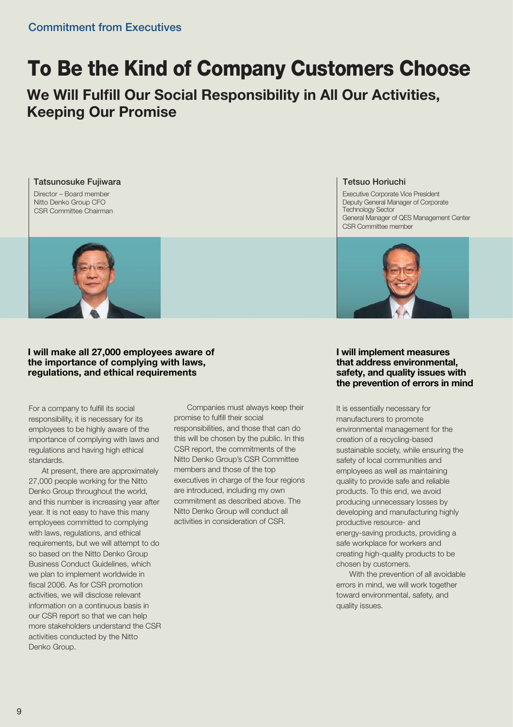# **To Be the Kind of Company Customers Choose**

**We Will Fulfill Our Social Responsibility in All Our Activities, Keeping Our Promise**

Director – Board member Nitto Denko Group CFO CSR Committee Chairman **Tatsunosuke Fujiwara**



## **I will make all 27,000 employees aware of the importance of complying with laws, regulations, and ethical requirements**

For a company to fulfill its social responsibility, it is necessary for its employees to be highly aware of the importance of complying with laws and regulations and having high ethical standards.

 At present, there are approximately 27,000 people working for the Nitto Denko Group throughout the world, and this number is increasing year after year. It is not easy to have this many employees committed to complying with laws, regulations, and ethical requirements, but we will attempt to do so based on the Nitto Denko Group Business Conduct Guidelines, which we plan to implement worldwide in fiscal 2006. As for CSR promotion activities, we will disclose relevant information on a continuous basis in our CSR report so that we can help more stakeholders understand the CSR activities conducted by the Nitto Denko Group.

 Companies must always keep their promise to fulfill their social responsibilities, and those that can do this will be chosen by the public. In this CSR report, the commitments of the Nitto Denko Group's CSR Committee members and those of the top executives in charge of the four regions are introduced, including my own commitment as described above. The Nitto Denko Group will conduct all activities in consideration of CSR.

#### **Tetsuo Horiuchi**

Executive Corporate Vice President Deputy General Manager of Corporate Technology Sector General Manager of QES Management Center CSR Committee member



## **I will implement measures that address environmental, safety, and quality issues with the prevention of errors in mind**

It is essentially necessary for manufacturers to promote environmental management for the creation of a recycling-based sustainable society, while ensuring the safety of local communities and employees as well as maintaining quality to provide safe and reliable products. To this end, we avoid producing unnecessary losses by developing and manufacturing highly productive resource- and energy-saving products, providing a safe workplace for workers and creating high-quality products to be chosen by customers.

 With the prevention of all avoidable errors in mind, we will work together toward environmental, safety, and quality issues.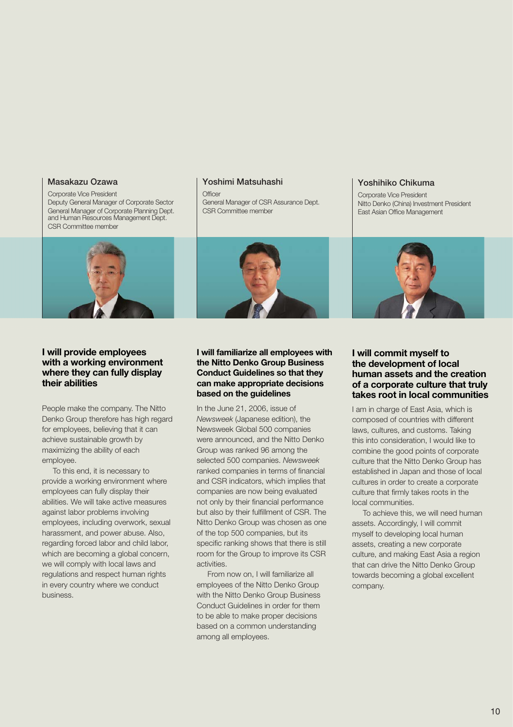#### **Masakazu Ozawa**

Corporate Vice President Deputy General Manager of Corporate Sector General Manager of Corporate Planning Dept. and Human Resources Management Dept. CSR Committee member



## **I will provide employees with a working environment where they can fully display their abilities**

People make the company. The Nitto Denko Group therefore has high regard for employees, believing that it can achieve sustainable growth by maximizing the ability of each employee.

 To this end, it is necessary to provide a working environment where employees can fully display their abilities. We will take active measures against labor problems involving employees, including overwork, sexual harassment, and power abuse. Also, regarding forced labor and child labor, which are becoming a global concern, we will comply with local laws and regulations and respect human rights in every country where we conduct business.

#### **Yoshimi Matsuhashi**

 $\bigcap_{i \in \mathcal{D}} f(i)$ General Manager of CSR Assurance Dept. CSR Committee member



## **I will familiarize all employees with the Nitto Denko Group Business Conduct Guidelines so that they can make appropriate decisions based on the guidelines**

In the June 21, 2006, issue of *Newsweek* (Japanese edition), the Newsweek Global 500 companies were announced, and the Nitto Denko Group was ranked 96 among the selected 500 companies. *Newsweek* ranked companies in terms of financial and CSR indicators, which implies that companies are now being evaluated not only by their financial performance but also by their fulfillment of CSR. The Nitto Denko Group was chosen as one of the top 500 companies, but its specific ranking shows that there is still room for the Group to improve its CSR activities.

 From now on, I will familiarize all employees of the Nitto Denko Group with the Nitto Denko Group Business Conduct Guidelines in order for them to be able to make proper decisions based on a common understanding among all employees.

#### **Yoshihiko Chikuma**

Corporate Vice President Nitto Denko (China) Investment President East Asian Office Management



## **I will commit myself to the development of local human assets and the creation of a corporate culture that truly takes root in local communities**

I am in charge of East Asia, which is composed of countries with different laws, cultures, and customs. Taking this into consideration, I would like to combine the good points of corporate culture that the Nitto Denko Group has established in Japan and those of local cultures in order to create a corporate culture that firmly takes roots in the local communities.

 To achieve this, we will need human assets. Accordingly, I will commit myself to developing local human assets, creating a new corporate culture, and making East Asia a region that can drive the Nitto Denko Group towards becoming a global excellent company.